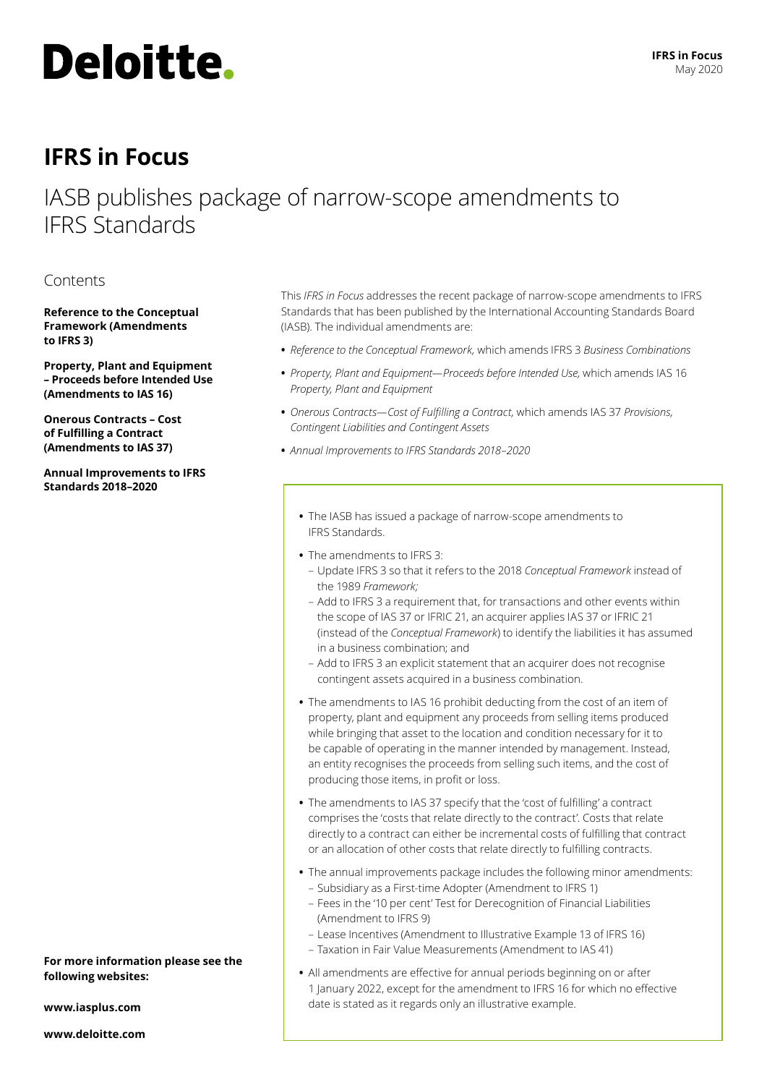

# **IFRS in Focus**

# IASB publishes package of narrow-scope amendments to IFRS Standards

# Contents

**[Reference to the Conceptual](#page-1-0)  [Framework \(Amendments](#page-1-0)  [to IFRS 3\)](#page-1-0)** 

**– [Proceeds before Intended Use](#page-1-1) [\(Amendments to IAS 16\)](#page-1-1)  [Property, Plant and Equipment](#page-1-1)**

**[Onerous Contracts – Cost](#page-2-0)  [of Fulfilling a Contract](#page-2-0)  [\(Amendments to IAS 37\)](#page-2-0)** 

**[Annual Improvements to IFRS](#page-2-1)  [Standards 2018–2020](#page-2-1)**

**For more information please see the following websites:**

**[www.iasplus.com](http://www.iasplus.com)**

**[www.deloitte.com](http://www.deloitte.com)**

This *IFRS in Focus* addresses the recent package of narrow-scope amendments to IFRS Standards that has been published by the International Accounting Standards Board (IASB). The individual amendments are:

- **•** *Reference to the Conceptual Framework,* which amends IFRS 3 *Business Combinations*
- **•** *Property, Plant and Equipment—Proceeds before Intended Use,* which amends IAS 16 *Property, Plant and Equipment*
- **•** *Onerous Contracts—Cost of Fulfilling a Contract,* which amends IAS 37 *Provisions, Contingent Liabilities and Contingent Assets*
- **•** *Annual Improvements to IFRS Standards 2018–2020*
	- **•** The IASB has issued a package of narrow-scope amendments to IFRS Standards.
	- **•** The amendments to IFRS 3:
	- Update IFRS 3 so that it refers to the 2018 *Conceptual Framework* in*st*ead of the 1989 *Framework;*
	- Add to IFRS 3 a requirement that, for transactions and other events within the scope of IAS 37 or IFRIC 21, an acquirer applies IAS 37 or IFRIC 21 (instead of the *Conceptual Framework*) to identify the liabilities it has assumed in a business combination; and
	- Add to IFRS 3 an explicit statement that an acquirer does not recognise contingent assets acquired in a business combination.
	- **•** The amendments to IAS 16 prohibit deducting from the cost of an item of property, plant and equipment any proceeds from selling items produced while bringing that asset to the location and condition necessary for it to be capable of operating in the manner intended by management. Instead, an entity recognises the proceeds from selling such items, and the cost of producing those items, in profit or loss.
	- **•** The amendments to IAS 37 specify that the 'cost of fulfilling' a contract comprises the 'costs that relate directly to the contract'. Costs that relate directly to a contract can either be incremental costs of fulfilling that contract or an allocation of other costs that relate directly to fulfilling contracts.
	- **•** The annual improvements package includes the following minor amendments:
		- Subsidiary as a First-time Adopter (Amendment to IFRS 1)
		- Fees in the '10 per cent' Test for Derecognition of Financial Liabilities (Amendment to IFRS 9)
		- Lease Incentives (Amendment to Illustrative Example 13 of IFRS 16)
		- Taxation in Fair Value Measurements (Amendment to IAS 41)
	- **•** All amendments are effective for annual periods beginning on or after 1 January 2022, except for the amendment to IFRS 16 for which no effective date is stated as it regards only an illustrative example.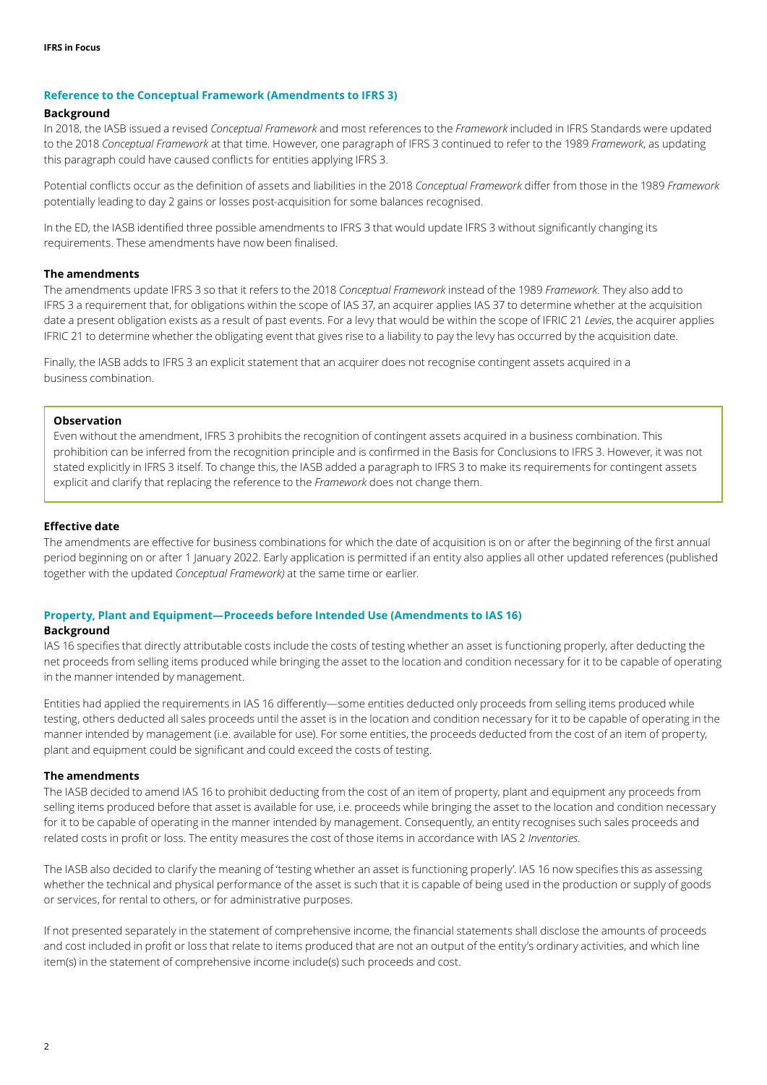#### <span id="page-1-0"></span>**Reference to the Conceptual Framework (Amendments to IFRS 3)**

#### **Background**

In 2018, the IASB issued a revised *Conceptual Framework* and most references to the *Framework* included in IFRS Standards were updated to the 2018 *Conceptual Framework* at that time. However, one paragraph of IFRS 3 continued to refer to the 1989 *Framework*, as updating this paragraph could have caused conflicts for entities applying IFRS 3.

Potential conflicts occur as the definition of assets and liabilities in the 2018 *Conceptual Framework* differ from those in the 1989 *Framework* potentially leading to day 2 gains or losses post-acquisition for some balances recognised.

In the ED, the IASB identified three possible amendments to IFRS 3 that would update IFRS 3 without significantly changing its requirements. These amendments have now been finalised.

# **The amendments**

The amendments update IFRS 3 so that it refers to the 2018 *Conceptual Framework* instead of the 1989 *Framework.* They also add to IFRS 3 a requirement that, for obligations within the scope of IAS 37, an acquirer applies IAS 37 to determine whether at the acquisition date a present obligation exists as a result of past events. For a levy that would be within the scope of IFRIC 21 *Levies*, the acquirer applies IFRIC 21 to determine whether the obligating event that gives rise to a liability to pay the levy has occurred by the acquisition date.

Finally, the IASB adds to IFRS 3 an explicit statement that an acquirer does not recognise contingent assets acquired in a business combination.

# **Observation**

Even without the amendment, IFRS 3 prohibits the recognition of contingent assets acquired in a business combination. This prohibition can be inferred from the recognition principle and is confirmed in the Basis for Conclusions to IFRS 3. However, it was not stated explicitly in IFRS 3 itself. To change this, the IASB added a paragraph to IFRS 3 to make its requirements for contingent assets explicit and clarify that replacing the reference to the *Framework* does not change them.

#### **Effective date**

The amendments are effective for business combinations for which the date of acquisition is on or after the beginning of the first annual period beginning on or after 1 January 2022. Early application is permitted if an entity also applies all other updated references (published together with the updated *Conceptual Framework)* at the same time or earlier.

#### <span id="page-1-1"></span>**[Property, Plant and Equipment—Proceeds before Intended Use \(Amendments to IAS 16\)](http://Property, Plant and Equipment-Proceeds before Intended Use (Amendments to IAS 16) )**

#### **Background**

IAS 16 specifies that directly attributable costs include the costs of testing whether an asset is functioning properly, after deducting the net proceeds from selling items produced while bringing the asset to the location and condition necessary for it to be capable of operating in the manner intended by management.

Entities had applied the requirements in IAS 16 differently—some entities deducted only proceeds from selling items produced while testing, others deducted all sales proceeds until the asset is in the location and condition necessary for it to be capable of operating in the manner intended by management (i.e. available for use). For some entities, the proceeds deducted from the cost of an item of property, plant and equipment could be significant and could exceed the costs of testing.

#### **The amendments**

The IASB decided to amend IAS 16 to prohibit deducting from the cost of an item of property, plant and equipment any proceeds from selling items produced before that asset is available for use, i.e. proceeds while bringing the asset to the location and condition necessary for it to be capable of operating in the manner intended by management. Consequently, an entity recognises such sales proceeds and related costs in profit or loss. The entity measures the cost of those items in accordance with IAS 2 *Inventories.* 

The IASB also decided to clarify the meaning of 'testing whether an asset is functioning properly'. IAS 16 now specifies this as assessing whether the technical and physical performance of the asset is such that it is capable of being used in the production or supply of goods or services, for rental to others, or for administrative purposes.

If not presented separately in the statement of comprehensive income, the financial statements shall disclose the amounts of proceeds and cost included in profit or loss that relate to items produced that are not an output of the entity's ordinary activities, and which line item(s) in the statement of comprehensive income include(s) such proceeds and cost.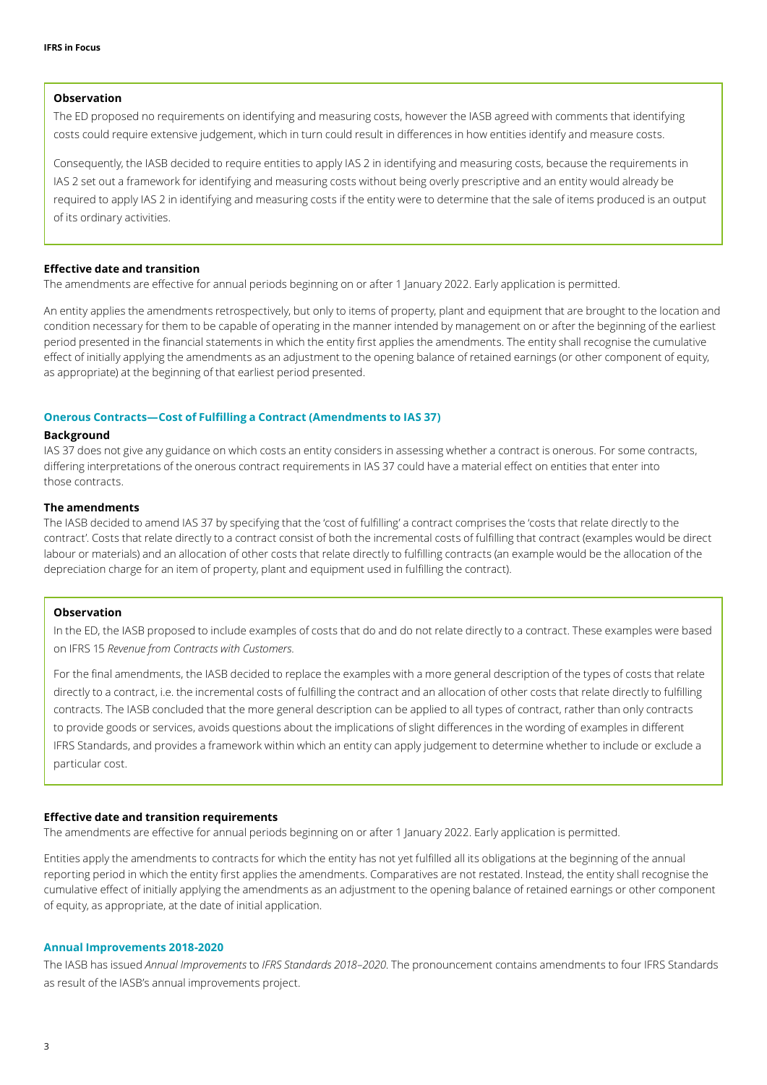## **Observation**

The ED proposed no requirements on identifying and measuring costs, however the IASB agreed with comments that identifying costs could require extensive judgement, which in turn could result in differences in how entities identify and measure costs.

Consequently, the IASB decided to require entities to apply IAS 2 in identifying and measuring costs, because the requirements in IAS 2 set out a framework for identifying and measuring costs without being overly prescriptive and an entity would already be required to apply IAS 2 in identifying and measuring costs if the entity were to determine that the sale of items produced is an output of its ordinary activities.

#### **Effective date and transition**

The amendments are effective for annual periods beginning on or after 1 January 2022. Early application is permitted.

An entity applies the amendments retrospectively, but only to items of property, plant and equipment that are brought to the location and condition necessary for them to be capable of operating in the manner intended by management on or after the beginning of the earliest period presented in the financial statements in which the entity first applies the amendments. The entity shall recognise the cumulative effect of initially applying the amendments as an adjustment to the opening balance of retained earnings (or other component of equity, as appropriate) at the beginning of that earliest period presented.

# <span id="page-2-0"></span>**Onerous Contracts—Cost of Fulfilling a Contract (Amendments to IAS 37)**

#### **Background**

IAS 37 does not give any guidance on which costs an entity considers in assessing whether a contract is onerous. For some contracts, differing interpretations of the onerous contract requirements in IAS 37 could have a material effect on entities that enter into those contracts.

# **The amendments**

The IASB decided to amend IAS 37 by specifying that the 'cost of fulfilling' a contract comprises the 'costs that relate directly to the contract'. Costs that relate directly to a contract consist of both the incremental costs of fulfilling that contract (examples would be direct labour or materials) and an allocation of other costs that relate directly to fulfilling contracts (an example would be the allocation of the depreciation charge for an item of property, plant and equipment used in fulfilling the contract).

# **Observation**

In the ED, the IASB proposed to include examples of costs that do and do not relate directly to a contract. These examples were based on IFRS 15 *Revenue from Contracts with Customers.*

For the final amendments, the IASB decided to replace the examples with a more general description of the types of costs that relate directly to a contract, i.e. the incremental costs of fulfilling the contract and an allocation of other costs that relate directly to fulfilling contracts. The IASB concluded that the more general description can be applied to all types of contract, rather than only contracts to provide goods or services, avoids questions about the implications of slight differences in the wording of examples in different IFRS Standards, and provides a framework within which an entity can apply judgement to determine whether to include or exclude a particular cost.

#### **Effective date and transition requirements**

The amendments are effective for annual periods beginning on or after 1 January 2022. Early application is permitted.

Entities apply the amendments to contracts for which the entity has not yet fulfilled all its obligations at the beginning of the annual reporting period in which the entity first applies the amendments. Comparatives are not restated. Instead, the entity shall recognise the cumulative effect of initially applying the amendments as an adjustment to the opening balance of retained earnings or other component of equity, as appropriate, at the date of initial application.

#### <span id="page-2-1"></span>**Annual Improvements 2018-2020**

The IASB has issued *Annual Improvements* to *IFRS Standards 2018–2020*. The pronouncement contains amendments to four IFRS Standards as result of the IASB's annual improvements project.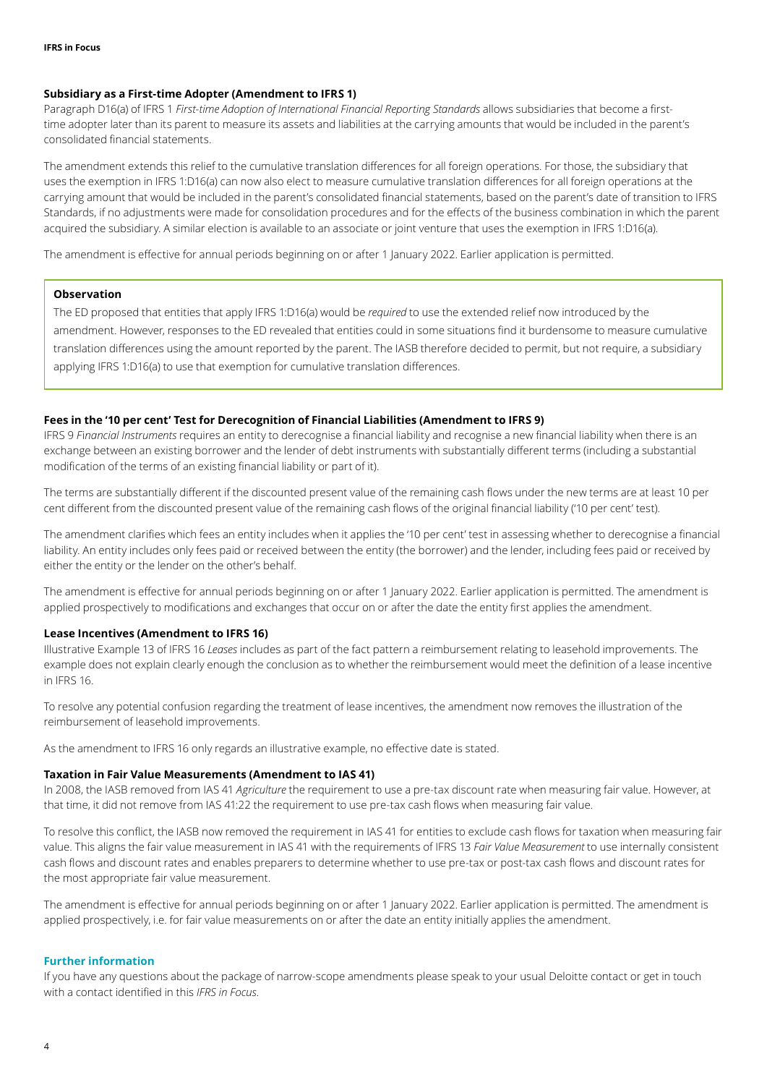## **Subsidiary as a First-time Adopter (Amendment to IFRS 1)**

Paragraph D16(a) of IFRS 1 *First-time Adoption of International Financial Reporting Standards* allows subsidiaries that become a firsttime adopter later than its parent to measure its assets and liabilities at the carrying amounts that would be included in the parent's consolidated financial statements.

The amendment extends this relief to the cumulative translation differences for all foreign operations. For those, the subsidiary that uses the exemption in IFRS 1:D16(a) can now also elect to measure cumulative translation differences for all foreign operations at the carrying amount that would be included in the parent's consolidated financial statements, based on the parent's date of transition to IFRS Standards, if no adjustments were made for consolidation procedures and for the effects of the business combination in which the parent acquired the subsidiary. A similar election is available to an associate or joint venture that uses the exemption in IFRS 1:D16(a).

The amendment is effective for annual periods beginning on or after 1 January 2022. Earlier application is permitted.

## **Observation**

The ED proposed that entities that apply IFRS 1:D16(a) would be *required* to use the extended relief now introduced by the amendment. However, responses to the ED revealed that entities could in some situations find it burdensome to measure cumulative translation differences using the amount reported by the parent. The IASB therefore decided to permit, but not require, a subsidiary applying IFRS 1:D16(a) to use that exemption for cumulative translation differences.

# **Fees in the '10 per cent' Test for Derecognition of Financial Liabilities (Amendment to IFRS 9)**

IFRS 9 *F*i*nancial Instruments* requires an entity to derecognise a financial liability and recognise a new financial liability when there is an exchange between an existing borrower and the lender of debt instruments with substantially different terms (including a substantial modification of the terms of an existing financial liability or part of it).

The terms are substantially different if the discounted present value of the remaining cash flows under the new terms are at least 10 per cent different from the discounted present value of the remaining cash flows of the original financial liability ('10 per cent' test).

The amendment clarifies which fees an entity includes when it applies the '10 per cent' test in assessing whether to derecognise a financial liability. An entity includes only fees paid or received between the entity (the borrower) and the lender, including fees paid or received by either the entity or the lender on the other's behalf.

The amendment is effective for annual periods beginning on or after 1 January 2022. Earlier application is permitted. The amendment is applied prospectively to modifications and exchanges that occur on or after the date the entity first applies the amendment.

#### **Lease Incentives (Amendment to IFRS 16)**

Illustrative Example 13 of IFRS 16 *Leases* includes as part of the fact pattern a reimbursement relating to leasehold improvements. The example does not explain clearly enough the conclusion as to whether the reimbursement would meet the definition of a lease incentive in IFRS 16.

To resolve any potential confusion regarding the treatment of lease incentives, the amendment now removes the illustration of the reimbursement of leasehold improvements.

As the amendment to IFRS 16 only regards an illustrative example, no effective date is stated.

#### **Taxation in Fair Value Measurements (Amendment to IAS 41)**

In 2008, the IASB removed from IAS 41 *Agriculture* the requirement to use a pre-tax discount rate when measuring fair value. However, at that time, it did not remove from IAS 41:22 the requirement to use pre-tax cash flows when measuring fair value.

To resolve this conflict, the IASB now removed the requirement in IAS 41 for entities to exclude cash flows for taxation when measuring fair value. This aligns the fair value measurement in IAS 41 with the requirements of IFRS 13 *Fair Value Measurement* to use internally consistent cash flows and discount rates and enables preparers to determine whether to use pre-tax or post-tax cash flows and discount rates for the most appropriate fair value measurement.

The amendment is effective for annual periods beginning on or after 1 January 2022. Earlier application is permitted. The amendment is applied prospectively, i.e. for fair value measurements on or after the date an entity initially applies the amendment.

#### **Further information**

If you have any questions about the package of narrow-scope amendments please speak to your usual Deloitte contact or get in touch with a contact identified in this *IFRS in Focus*.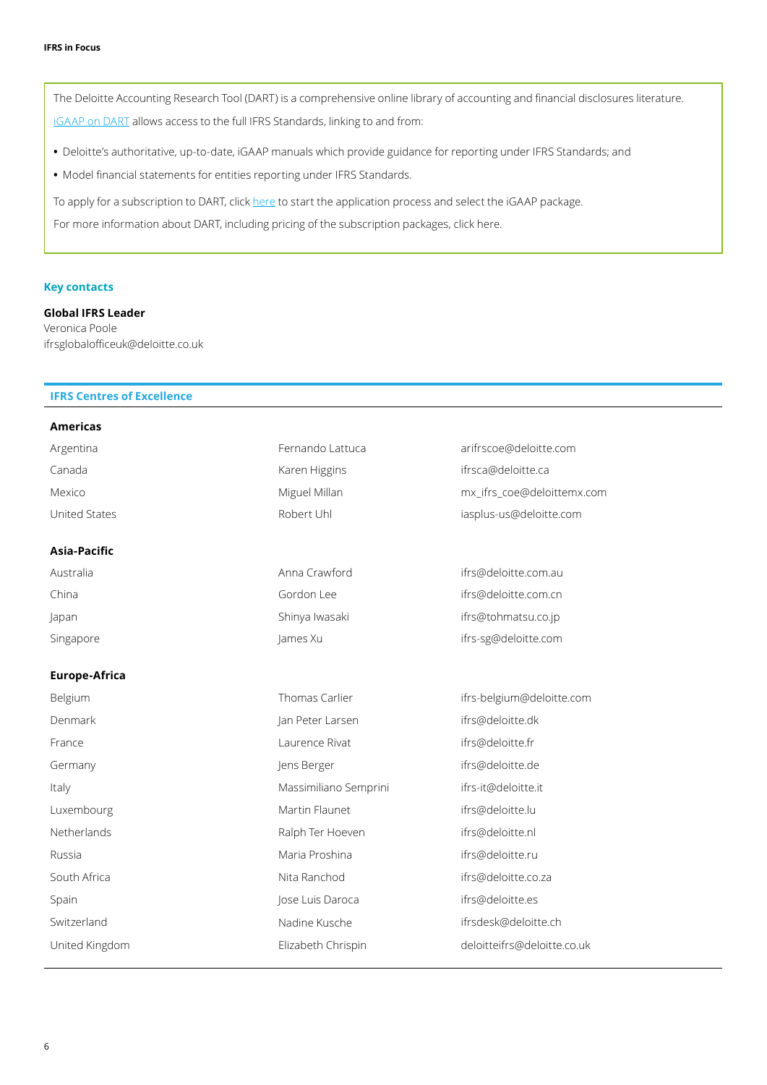The Deloitte Accounting Research Tool (DART) is a comprehensive online library of accounting and financial disclosures literature. iGAAP on DART allows access to the full IFRS Standards, linking to and from:

- Deloitte's authoritative, up-to-date, iGAAP manuals which provide guidance for reporting under IFRS Standards; and
- Model financial statements for entities reporting under IFRS Standards.

To apply for a subscription to DART, click here to start the application process and select the iGAAP package.

For more information about DART, including pricing of the subscription packages, click here.

#### **Key contacts**

**Global IFRS Leader** Veronica Poole ifrsglobalofficeuk@deloitte.co.uk

# **IFRS Centres of Excellence**

| Americas             |                       |                             |
|----------------------|-----------------------|-----------------------------|
| Argentina            | Fernando Lattuca      | arifrscoe@deloitte.com      |
| Canada               | Karen Higgins         | ifrsca@deloitte.ca          |
| Mexico               | Miguel Millan         | mx_ifrs_coe@deloittemx.com  |
| United States        | Robert Uhl            | iasplus-us@deloitte.com     |
| Asia-Pacific         |                       |                             |
| Australia            | Anna Crawford         | ifrs@deloitte.com.au        |
| China                | Gordon Lee            | ifrs@deloitte.com.cn        |
| Japan                | Shinya Iwasaki        | ifrs@tohmatsu.co.jp         |
| Singapore            | James Xu              | ifrs-sg@deloitte.com        |
| <b>Europe-Africa</b> |                       |                             |
| Belgium              | Thomas Carlier        | ifrs-belgium@deloitte.com   |
| Denmark              | Jan Peter Larsen      | ifrs@deloitte.dk            |
| France               | Laurence Rivat        | ifrs@deloitte.fr            |
| Germany              | Jens Berger           | ifrs@deloitte.de            |
| Italy                | Massimiliano Semprini | ifrs-it@deloitte.it         |
| Luxembourg           | Martin Flaunet        | ifrs@deloitte.lu            |
| Netherlands          | Ralph Ter Hoeven      | ifrs@deloitte.nl            |
| Russia               | Maria Proshina        | ifrs@deloitte.ru            |
| South Africa         | Nita Ranchod          | ifrs@deloitte.co.za         |
| Spain                | Jose Luis Daroca      | ifrs@deloitte.es            |
| Switzerland          | Nadine Kusche         | ifrsdesk@deloitte.ch        |
| United Kingdom       | Elizabeth Chrispin    | deloitteifrs@deloitte.co.uk |
|                      |                       |                             |